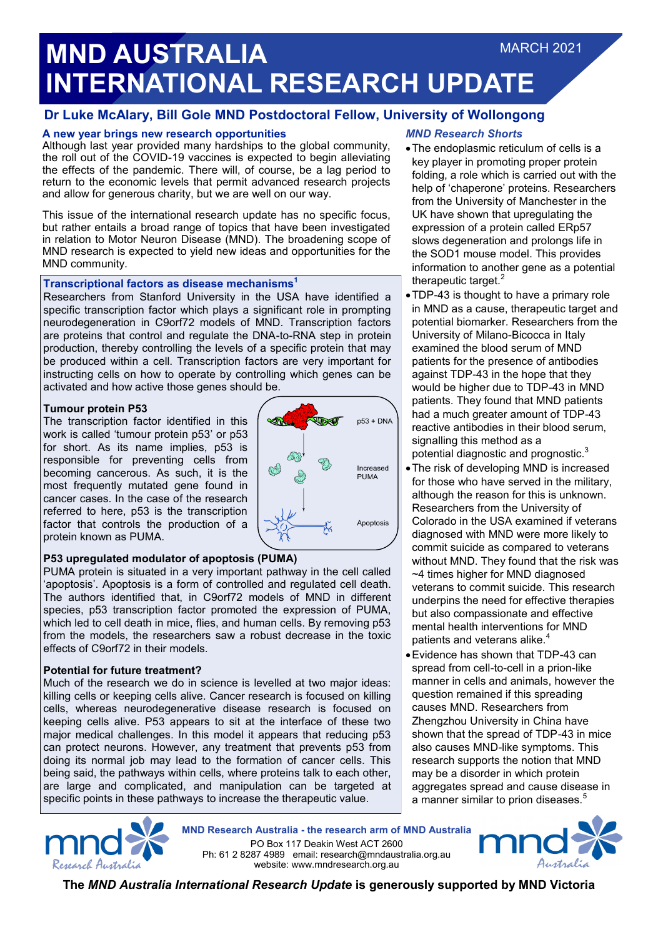# **MND AUSTRALIA INTERNATIONAL RESEARCH UPDATE** MARCH 2021

# **Dr Luke McAlary, Bill Gole MND Postdoctoral Fellow, University of Wollongong**

# **A new year brings new research opportunities**

Although last year provided many hardships to the global community, the roll out of the COVID-19 vaccines is expected to begin alleviating the effects of the pandemic. There will, of course, be a lag period to return to the economic levels that permit advanced research projects and allow for generous charity, but we are well on our way.

This issue of the international research update has no specific focus, but rather entails a broad range of topics that have been investigated in relation to Motor Neuron Disease (MND). The broadening scope of MND research is expected to yield new ideas and opportunities for the MND community.

## **Transcriptional factors as disease mechanisms<sup>1</sup>**

Researchers from Stanford University in the USA have identified a specific transcription factor which plays a significant role in prompting neurodegeneration in C9orf72 models of MND. Transcription factors are proteins that control and regulate the DNA-to-RNA step in protein production, thereby controlling the levels of a specific protein that may be produced within a cell. Transcription factors are very important for instructing cells on how to operate by controlling which genes can be activated and how active those genes should be.

## **Tumour protein P53**

The transcription factor identified in this work is called 'tumour protein p53' or p53 for short. As its name implies, p53 is responsible for preventing cells from becoming cancerous. As such, it is the most frequently mutated gene found in cancer cases. In the case of the research referred to here, p53 is the transcription factor that controls the production of a protein known as PUMA.



# **P53 upregulated modulator of apoptosis (PUMA)**

PUMA protein is situated in a very important pathway in the cell called 'apoptosis'. Apoptosis is a form of controlled and regulated cell death. The authors identified that, in C9orf72 models of MND in different species, p53 transcription factor promoted the expression of PUMA, which led to cell death in mice, flies, and human cells. By removing p53 from the models, the researchers saw a robust decrease in the toxic effects of C9orf72 in their models.

# **Potential for future treatment?**

Much of the research we do in science is levelled at two major ideas: killing cells or keeping cells alive. Cancer research is focused on killing cells, whereas neurodegenerative disease research is focused on keeping cells alive. P53 appears to sit at the interface of these two major medical challenges. In this model it appears that reducing p53 can protect neurons. However, any treatment that prevents p53 from doing its normal job may lead to the formation of cancer cells. This being said, the pathways within cells, where proteins talk to each other, are large and complicated, and manipulation can be targeted at specific points in these pathways to increase the therapeutic value.



**MND Research Australia - the research arm of MND Australia**

PO Box 117 Deakin West ACT 2600 Ph: 61 2 8287 4989 email: research@mndaustralia.org.au website: www.mndresearch.org.au



**The** *MND Australia International Research Update* **is generously supported by MND Victoria**

# *MND Research Shorts*

- The endoplasmic reticulum of cells is a key player in promoting proper protein folding, a role which is carried out with the help of 'chaperone' proteins. Researchers from the University of Manchester in the UK have shown that upregulating the expression of a protein called ERp57 slows degeneration and prolongs life in the SOD1 mouse model. This provides information to another gene as a potential therapeutic target.<sup>2</sup>
- TDP-43 is thought to have a primary role in MND as a cause, therapeutic target and potential biomarker. Researchers from the University of Milano-Bicocca in Italy examined the blood serum of MND patients for the presence of antibodies against TDP-43 in the hope that they would be higher due to TDP-43 in MND patients. They found that MND patients had a much greater amount of TDP-43 reactive antibodies in their blood serum, signalling this method as a potential diagnostic and prognostic.<sup>3</sup>
- The risk of developing MND is increased for those who have served in the military, although the reason for this is unknown. Researchers from the University of Colorado in the USA examined if veterans diagnosed with MND were more likely to commit suicide as compared to veterans without MND. They found that the risk was ~4 times higher for MND diagnosed veterans to commit suicide. This research underpins the need for effective therapies but also compassionate and effective mental health interventions for MND patients and veterans alike.<sup>4</sup>
- Evidence has shown that TDP-43 can spread from cell-to-cell in a prion-like manner in cells and animals, however the question remained if this spreading causes MND. Researchers from Zhengzhou University in China have shown that the spread of TDP-43 in mice also causes MND-like symptoms. This research supports the notion that MND may be a disorder in which protein aggregates spread and cause disease in a manner similar to prion diseases.<sup>5</sup>